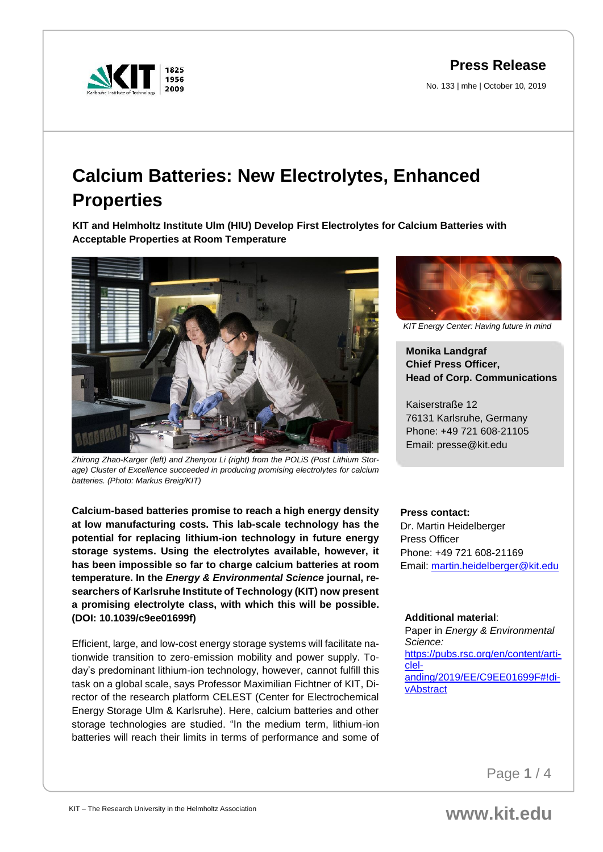**Press Release**

No. 133 | mhe | October 10, 2019



# **Calcium Batteries: New Electrolytes, Enhanced Properties**

**KIT and Helmholtz Institute Ulm (HIU) Develop First Electrolytes for Calcium Batteries with Acceptable Properties at Room Temperature**



*Zhirong Zhao-Karger (left) and Zhenyou Li (right) from the POLiS (Post Lithium Storage) Cluster of Excellence succeeded in producing promising electrolytes for calcium batteries. (Photo: Markus Breig/KIT)*

**Calcium-based batteries promise to reach a high energy density at low manufacturing costs. This lab-scale technology has the potential for replacing lithium-ion technology in future energy storage systems. Using the electrolytes available, however, it has been impossible so far to charge calcium batteries at room temperature. In the** *Energy & Environmental Science* **journal, researchers of Karlsruhe Institute of Technology (KIT) now present a promising electrolyte class, with which this will be possible. (DOI: 10.1039/c9ee01699f)** 

Efficient, large, and low-cost energy storage systems will facilitate nationwide transition to zero-emission mobility and power supply. Today's predominant lithium-ion technology, however, cannot fulfill this task on a global scale, says Professor Maximilian Fichtner of KIT, Director of the research platform CELEST (Center for Electrochemical Energy Storage Ulm & Karlsruhe). Here, calcium batteries and other storage technologies are studied. "In the medium term, lithium-ion batteries will reach their limits in terms of performance and some of



*KIT Energy Center: Having future in mind*

# **Monika Landgraf Chief Press Officer, Head of Corp. Communications**

Kaiserstraße 12 76131 Karlsruhe, Germany Phone: +49 721 608-21105 Email: presse@kit.edu

# **Press contact:**

Dr. Martin Heidelberger Press Officer Phone: +49 721 608-21169 Email: [martin.heidelberger@kit.edu](mailto:martin.heidelberger@kit.edu)

# **Additional material**:

Paper in *Energy & Environmental Science:* [https://pubs.rsc.org/en/content/arti](https://pubs.rsc.org/en/content/articlelanding/2019/EE/C9EE01699F#!divAbstract)[clel](https://pubs.rsc.org/en/content/articlelanding/2019/EE/C9EE01699F#!divAbstract)[anding/2019/EE/C9EE01699F#!di](https://pubs.rsc.org/en/content/articlelanding/2019/EE/C9EE01699F#!divAbstract)[vAbstract](https://pubs.rsc.org/en/content/articlelanding/2019/EE/C9EE01699F#!divAbstract)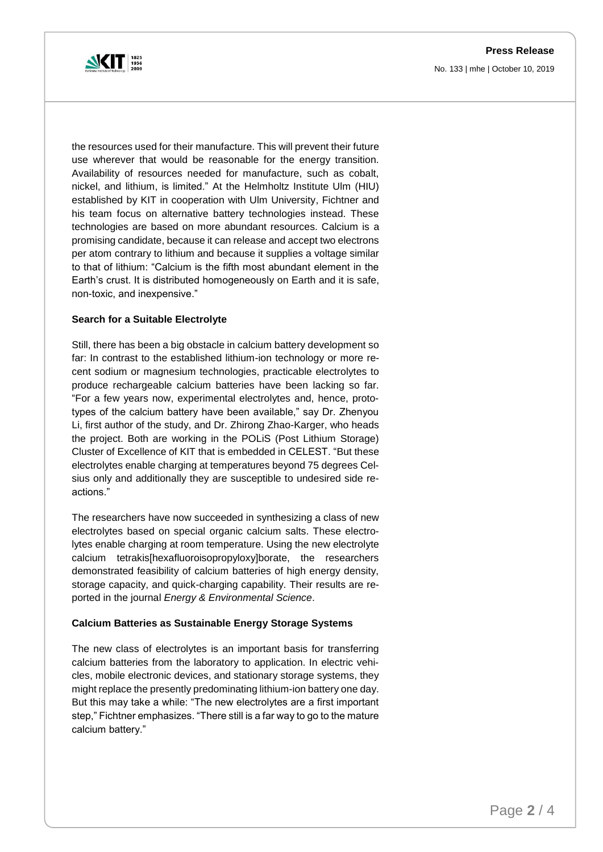**Press Release** No. 133 | mhe | October 10, 2019



the resources used for their manufacture. This will prevent their future use wherever that would be reasonable for the energy transition. Availability of resources needed for manufacture, such as cobalt, nickel, and lithium, is limited." At the Helmholtz Institute Ulm (HIU) established by KIT in cooperation with Ulm University, Fichtner and his team focus on alternative battery technologies instead. These technologies are based on more abundant resources. Calcium is a promising candidate, because it can release and accept two electrons per atom contrary to lithium and because it supplies a voltage similar to that of lithium: "Calcium is the fifth most abundant element in the Earth's crust. It is distributed homogeneously on Earth and it is safe, non-toxic, and inexpensive."

#### **Search for a Suitable Electrolyte**

Still, there has been a big obstacle in calcium battery development so far: In contrast to the established lithium-ion technology or more recent sodium or magnesium technologies, practicable electrolytes to produce rechargeable calcium batteries have been lacking so far. "For a few years now, experimental electrolytes and, hence, prototypes of the calcium battery have been available," say Dr. Zhenyou Li, first author of the study, and Dr. Zhirong Zhao-Karger, who heads the project. Both are working in the POLiS (Post Lithium Storage) Cluster of Excellence of KIT that is embedded in CELEST. "But these electrolytes enable charging at temperatures beyond 75 degrees Celsius only and additionally they are susceptible to undesired side reactions."

The researchers have now succeeded in synthesizing a class of new electrolytes based on special organic calcium salts. These electrolytes enable charging at room temperature. Using the new electrolyte calcium tetrakis[hexafluoroisopropyloxy]borate, the researchers demonstrated feasibility of calcium batteries of high energy density, storage capacity, and quick-charging capability. Their results are reported in the journal *Energy & Environmental Science*.

#### **Calcium Batteries as Sustainable Energy Storage Systems**

The new class of electrolytes is an important basis for transferring calcium batteries from the laboratory to application. In electric vehicles, mobile electronic devices, and stationary storage systems, they might replace the presently predominating lithium-ion battery one day. But this may take a while: "The new electrolytes are a first important step," Fichtner emphasizes. "There still is a far way to go to the mature calcium battery."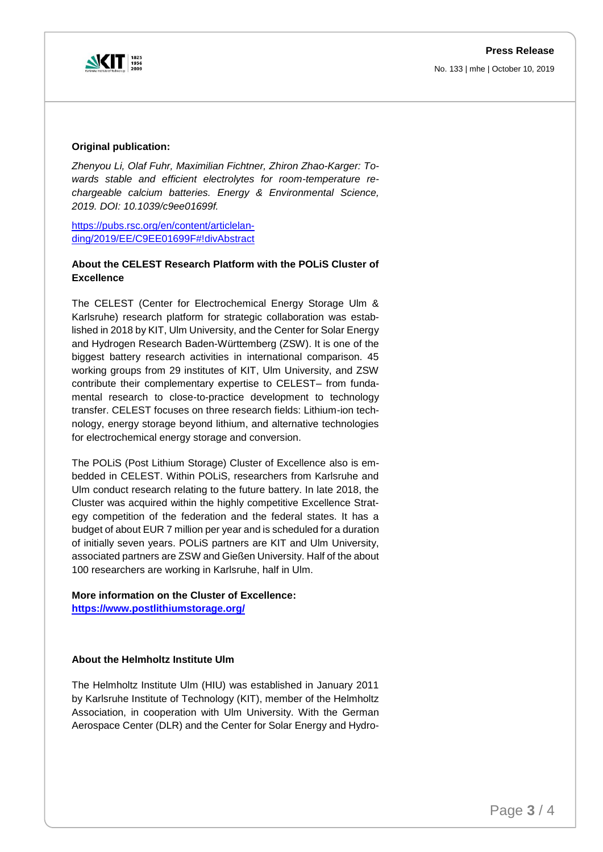

No. 133 | mhe | October 10, 2019

#### **Original publication:**

*Zhenyou Li, Olaf Fuhr, Maximilian Fichtner, Zhiron Zhao-Karger: Towards stable and efficient electrolytes for room-temperature rechargeable calcium batteries. Energy & Environmental Science, 2019. DOI: 10.1039/c9ee01699f.*

[https://pubs.rsc.org/en/content/articlelan](https://pubs.rsc.org/en/content/articlelanding/2019/EE/C9EE01699F#!divAbstract)[ding/2019/EE/C9EE01699F#!divAbstract](https://pubs.rsc.org/en/content/articlelanding/2019/EE/C9EE01699F#!divAbstract)

# **About the CELEST Research Platform with the POLiS Cluster of Excellence**

The CELEST (Center for Electrochemical Energy Storage Ulm & Karlsruhe) research platform for strategic collaboration was established in 2018 by KIT, Ulm University, and the Center for Solar Energy and Hydrogen Research Baden-Württemberg (ZSW). It is one of the biggest battery research activities in international comparison. 45 working groups from 29 institutes of KIT, Ulm University, and ZSW contribute their complementary expertise to CELEST– from fundamental research to close-to-practice development to technology transfer. CELEST focuses on three research fields: Lithium-ion technology, energy storage beyond lithium, and alternative technologies for electrochemical energy storage and conversion.

The POLiS (Post Lithium Storage) Cluster of Excellence also is embedded in CELEST. Within POLiS, researchers from Karlsruhe and Ulm conduct research relating to the future battery. In late 2018, the Cluster was acquired within the highly competitive Excellence Strategy competition of the federation and the federal states. It has a budget of about EUR 7 million per year and is scheduled for a duration of initially seven years. POLiS partners are KIT and Ulm University, associated partners are ZSW and Gießen University. Half of the about 100 researchers are working in Karlsruhe, half in Ulm.

# **More information on the Cluster of Excellence:**

**<https://www.postlithiumstorage.org/>**

# **About the Helmholtz Institute Ulm**

The Helmholtz Institute Ulm (HIU) was established in January 2011 by Karlsruhe Institute of Technology (KIT), member of the Helmholtz Association, in cooperation with Ulm University. With the German Aerospace Center (DLR) and the Center for Solar Energy and Hydro-